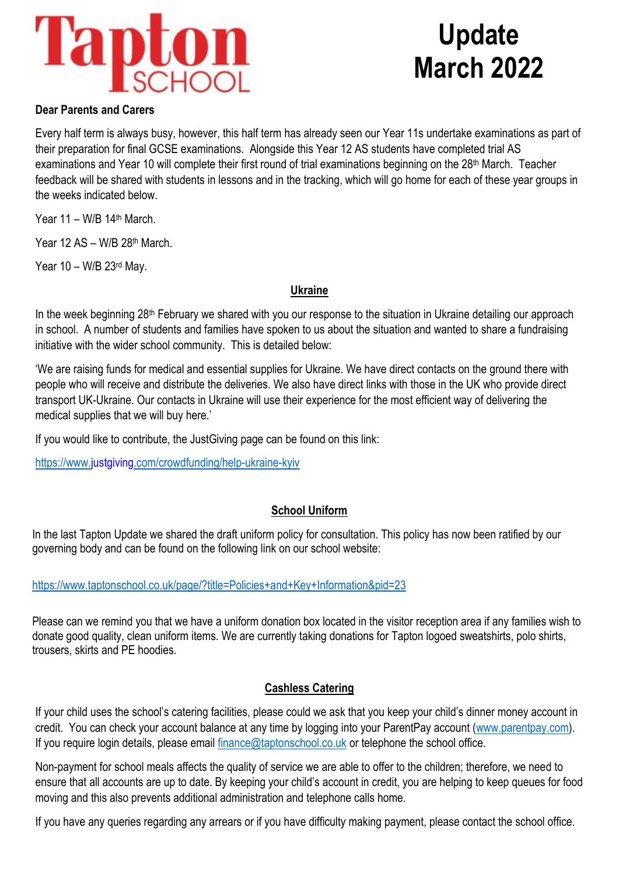

# **Update March 2022**

### **Dear Parents and Carers**

Every half term is always busy, however, this half term has already seen our Year 11s undertake examinations as part of their preparation for final GCSE examinations. Alongside this Year 12 AS students have completed trial AS examinations and Year 10 will complete their first round of trial examinations beginning on the 28<sup>th</sup> March. Teacher feedback will be shared with students in lessons and in the tracking, which will go home for each of these year groups in the weeks indicated below.

Year 11 – W/B 14th March.

Year 12 AS – W/B 28th March.

Year 10 – W/B 23rd May.

#### **Ukraine**

In the week beginning 28<sup>th</sup> February we shared with you our response to the situation in Ukraine detailing our approach in school. A number of students and families have spoken to us about the situation and wanted to share a fundraising initiative with the wider school community. This is detailed below:

'We are raising funds for medical and essential supplies for Ukraine. We have direct contacts on the ground there with people who will receive and distribute the deliveries. We also have direct links with those in the UK who provide direct transport UK-Ukraine. Our contacts in Ukraine will use their experience for the most efficient way of delivering the medical supplies that we will buy here.'

If you would like to contribute, the JustGiving page can be found on this link:

<https://www.justgiving.com/crowdfunding/help-ukraine-kyiv>

# **School Uniform**

In the last Tapton Update we shared the draft uniform policy for consultation. This policy has now been ratified by our governing body and can be found on the following link on our school website:

#### <https://www.taptonschool.co.uk/page/?title=Policies+and+Key+Information&pid=23>

Please can we remind you that we have a uniform donation box located in the visitor reception area if any families wish to donate good quality, clean uniform items. We are currently taking donations for Tapton logoed sweatshirts, polo shirts, trousers, skirts and PE hoodies.

# **Cashless Catering**

If your child uses the school's catering facilities, please could we ask that you keep your child's dinner money account in credit. You can check your account balance at any time by logging into your ParentPay account [\(www.parentpay.com\)](http://www.parentpay.com/). If you require login details, please email [finance@taptonschool.co.uk](mailto:finance@taptonschool.co.uk) or telephone the school office.

Non-payment for school meals affects the quality of service we are able to offer to the children; therefore, we need to ensure that all accounts are up to date. By keeping your child's account in credit, you are helping to keep queues for food moving and this also prevents additional administration and telephone calls home.

If you have any queries regarding any arrears or if you have difficulty making payment, please contact the school office.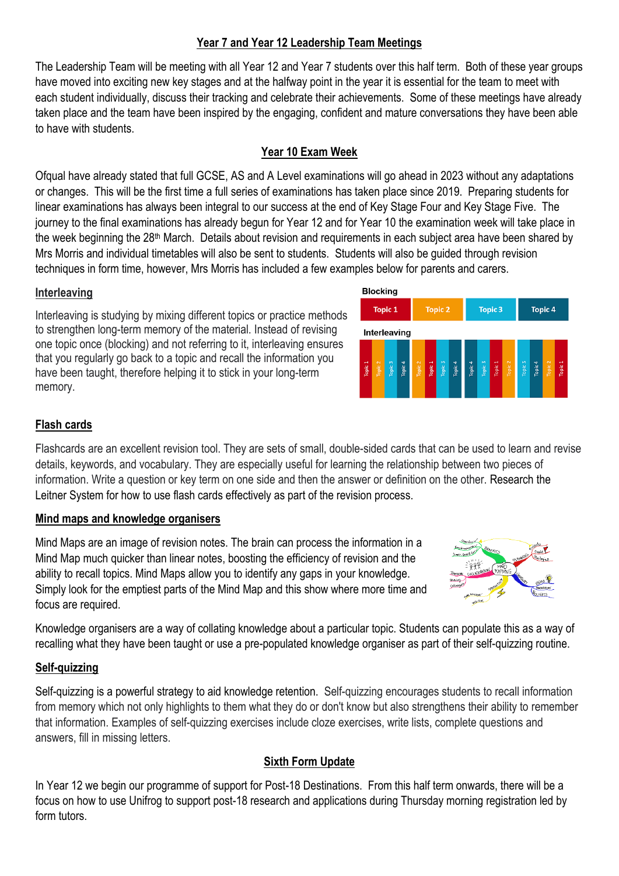## **Year 7 and Year 12 Leadership Team Meetings**

The Leadership Team will be meeting with all Year 12 and Year 7 students over this half term. Both of these year groups have moved into exciting new key stages and at the halfway point in the year it is essential for the team to meet with each student individually, discuss their tracking and celebrate their achievements. Some of these meetings have already taken place and the team have been inspired by the engaging, confident and mature conversations they have been able to have with students.

## **Year 10 Exam Week**

Ofqual have already stated that full GCSE, AS and A Level examinations will go ahead in 2023 without any adaptations or changes. This will be the first time a full series of examinations has taken place since 2019. Preparing students for linear examinations has always been integral to our success at the end of Key Stage Four and Key Stage Five. The journey to the final examinations has already begun for Year 12 and for Year 10 the examination week will take place in the week beginning the 28<sup>th</sup> March. Details about revision and requirements in each subject area have been shared by Mrs Morris and individual timetables will also be sent to students. Students will also be guided through revision techniques in form time, however, Mrs Morris has included a few examples below for parents and carers.

#### **Interleaving**

Interleaving is studying by mixing different topics or practice methods to strengthen long-term memory of the material. Instead of revising one topic once (blocking) and not referring to it, interleaving ensures that you regularly go back to a topic and recall the information you have been taught, therefore helping it to stick in your long-term memory.



#### **Flash cards**

Flashcards are an excellent revision tool. They are sets of small, double-sided cards that can be used to learn and revise details, keywords, and vocabulary. They are especially useful for learning the relationship between two pieces of information. Write a question or key term on one side and then the answer or definition on the other. Research the Leitner System for how to use flash cards effectively as part of the revision process.

#### **Mind maps and knowledge organisers**

Mind Maps are an image of revision notes. The brain can process the information in a Mind Map much quicker than linear notes, boosting the efficiency of revision and the ability to recall topics. Mind Maps allow you to identify any gaps in your knowledge. Simply look for the emptiest parts of the Mind Map and this show where more time and focus are required.



Knowledge organisers are a way of collating knowledge about a particular topic. Students can populate this as a way of recalling what they have been taught or use a pre-populated knowledge organiser as part of their self-quizzing routine.

# **Self-quizzing**

Self-quizzing is a powerful strategy to aid knowledge retention. Self-quizzing encourages students to recall information from memory which not only highlights to them what they do or don't know but also strengthens their ability to remember that information. Examples of self-quizzing exercises include cloze exercises, write lists, complete questions and answers, fill in missing letters.

# **Sixth Form Update**

In Year 12 we begin our programme of support for Post-18 Destinations. From this half term onwards, there will be a focus on how to use Unifrog to support post-18 research and applications during Thursday morning registration led by form tutors.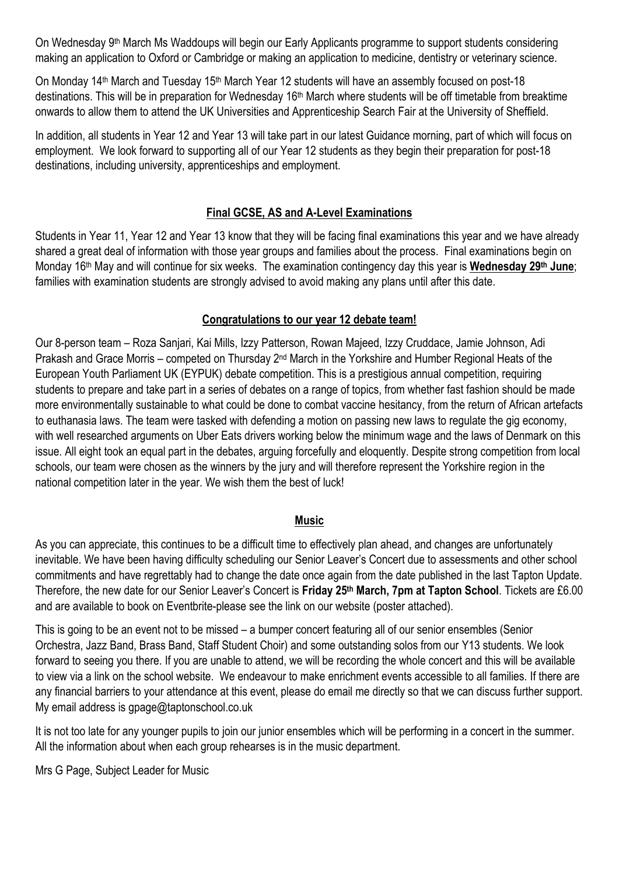On Wednesday 9th March Ms Waddoups will begin our Early Applicants programme to support students considering making an application to Oxford or Cambridge or making an application to medicine, dentistry or veterinary science.

On Monday 14<sup>th</sup> March and Tuesday 15<sup>th</sup> March Year 12 students will have an assembly focused on post-18 destinations. This will be in preparation for Wednesday 16<sup>th</sup> March where students will be off timetable from breaktime onwards to allow them to attend the UK Universities and Apprenticeship Search Fair at the University of Sheffield.

In addition, all students in Year 12 and Year 13 will take part in our latest Guidance morning, part of which will focus on employment. We look forward to supporting all of our Year 12 students as they begin their preparation for post-18 destinations, including university, apprenticeships and employment.

# **Final GCSE, AS and A-Level Examinations**

Students in Year 11, Year 12 and Year 13 know that they will be facing final examinations this year and we have already shared a great deal of information with those year groups and families about the process. Final examinations begin on Monday 16th May and will continue for six weeks. The examination contingency day this year is **Wednesday 29th June**; families with examination students are strongly advised to avoid making any plans until after this date.

# **Congratulations to our year 12 debate team!**

Our 8-person team – Roza Sanjari, Kai Mills, Izzy Patterson, Rowan Majeed, Izzy Cruddace, Jamie Johnson, Adi Prakash and Grace Morris – competed on Thursday 2nd March in the Yorkshire and Humber Regional Heats of the European Youth Parliament UK (EYPUK) debate competition. This is a prestigious annual competition, requiring students to prepare and take part in a series of debates on a range of topics, from whether fast fashion should be made more environmentally sustainable to what could be done to combat vaccine hesitancy, from the return of African artefacts to euthanasia laws. The team were tasked with defending a motion on passing new laws to regulate the gig economy, with well researched arguments on Uber Eats drivers working below the minimum wage and the laws of Denmark on this issue. All eight took an equal part in the debates, arguing forcefully and eloquently. Despite strong competition from local schools, our team were chosen as the winners by the jury and will therefore represent the Yorkshire region in the national competition later in the year. We wish them the best of luck!

#### **Music**

As you can appreciate, this continues to be a difficult time to effectively plan ahead, and changes are unfortunately inevitable. We have been having difficulty scheduling our Senior Leaver's Concert due to assessments and other school commitments and have regrettably had to change the date once again from the date published in the last Tapton Update. Therefore, the new date for our Senior Leaver's Concert is **Friday 25th March, 7pm at Tapton School**. Tickets are £6.00 and are available to book on Eventbrite-please see the link on our website (poster attached).

This is going to be an event not to be missed – a bumper concert featuring all of our senior ensembles (Senior Orchestra, Jazz Band, Brass Band, Staff Student Choir) and some outstanding solos from our Y13 students. We look forward to seeing you there. If you are unable to attend, we will be recording the whole concert and this will be available to view via a link on the school website. We endeavour to make enrichment events accessible to all families. If there are any financial barriers to your attendance at this event, please do email me directly so that we can discuss further support. My email address is gpage@taptonschool.co.uk

It is not too late for any younger pupils to join our junior ensembles which will be performing in a concert in the summer. All the information about when each group rehearses is in the music department.

Mrs G Page, Subject Leader for Music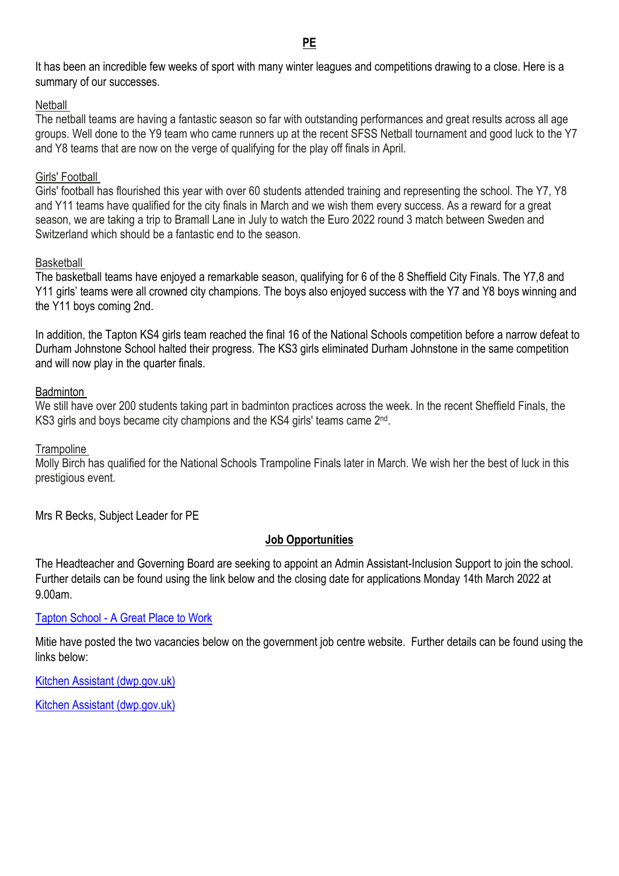**PE**

It has been an incredible few weeks of sport with many winter leagues and competitions drawing to a close. Here is a summary of our successes.

#### **Netball**

The netball teams are having a fantastic season so far with outstanding performances and great results across all age groups. Well done to the Y9 team who came runners up at the recent SFSS Netball tournament and good luck to the Y7 and Y8 teams that are now on the verge of qualifying for the play off finals in April.

#### Girls' Football

Girls' football has flourished this year with over 60 students attended training and representing the school. The Y7, Y8 and Y11 teams have qualified for the city finals in March and we wish them every success. As a reward for a great season, we are taking a trip to Bramall Lane in July to watch the Euro 2022 round 3 match between Sweden and Switzerland which should be a fantastic end to the season.

#### **Basketball**

The basketball teams have enjoyed a remarkable season, qualifying for 6 of the 8 Sheffield City Finals. The Y7,8 and Y11 girls' teams were all crowned city champions. The boys also enjoyed success with the Y7 and Y8 boys winning and the Y11 boys coming 2nd.

In addition, the Tapton KS4 girls team reached the final 16 of the National Schools competition before a narrow defeat to Durham Johnstone School halted their progress. The KS3 girls eliminated Durham Johnstone in the same competition and will now play in the quarter finals.

#### Badminton

We still have over 200 students taking part in badminton practices across the week. In the recent Sheffield Finals, the KS3 girls and boys became city champions and the KS4 girls' teams came 2<sup>nd</sup>.

#### **Trampoline**

Molly Birch has qualified for the National Schools Trampoline Finals later in March. We wish her the best of luck in this prestigious event.

Mrs R Becks, Subject Leader for PE

#### **Job Opportunities**

The Headteacher and Governing Board are seeking to appoint an Admin Assistant-Inclusion Support to join the school. Further details can be found using the link below and the closing date for applications Monday 14th March 2022 at 9.00am.

#### Tapton School - [A Great Place to Work](https://www.taptonschool.co.uk/page/?title=A+Great+Place+to+Work&pid=13)

Mitie have posted the two vacancies below on the government job centre website. Further details can be found using the links below:

[Kitchen Assistant \(dwp.gov.uk\)](https://findajob.dwp.gov.uk/details/8349350?v=AF06C61F43C8561736553C9FF2725AE50488C177)

[Kitchen Assistant \(dwp.gov.uk\)](https://findajob.dwp.gov.uk/details/8349353?v=B7BA8004BE24E019905ED0E96B08F5A6D5C4BEE2)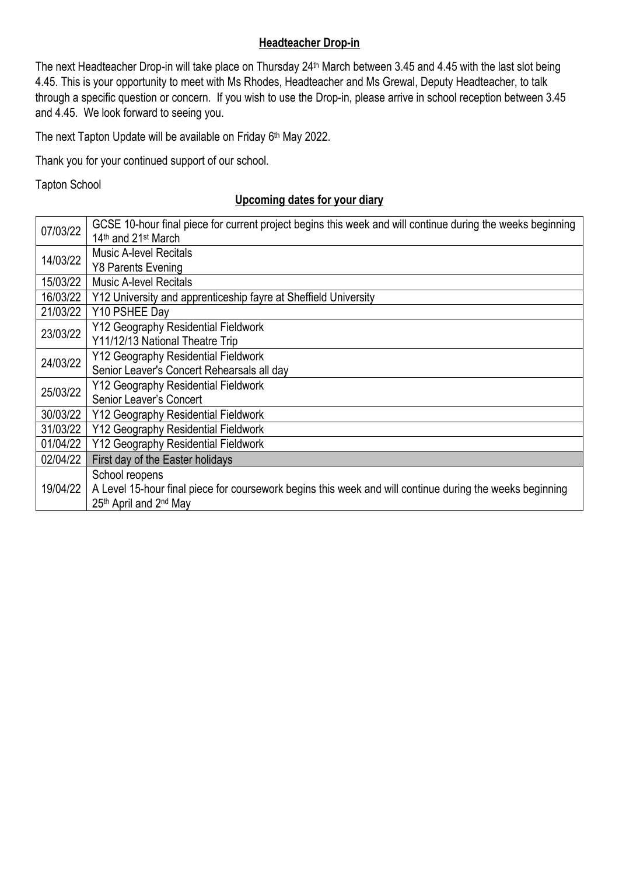# **Headteacher Drop-in**

The next Headteacher Drop-in will take place on Thursday 24<sup>th</sup> March between 3.45 and 4.45 with the last slot being 4.45. This is your opportunity to meet with Ms Rhodes, Headteacher and Ms Grewal, Deputy Headteacher, to talk through a specific question or concern. If you wish to use the Drop-in, please arrive in school reception between 3.45 and 4.45. We look forward to seeing you.

The next Tapton Update will be available on Friday 6<sup>th</sup> May 2022.

Thank you for your continued support of our school.

Tapton School

## **Upcoming dates for your diary**

| 07/03/22 | GCSE 10-hour final piece for current project begins this week and will continue during the weeks beginning<br>14th and 21st March |
|----------|-----------------------------------------------------------------------------------------------------------------------------------|
| 14/03/22 | <b>Music A-level Recitals</b><br><b>Y8 Parents Evening</b>                                                                        |
| 15/03/22 | <b>Music A-level Recitals</b>                                                                                                     |
| 16/03/22 | Y12 University and apprenticeship fayre at Sheffield University                                                                   |
| 21/03/22 | Y10 PSHEE Dav                                                                                                                     |
| 23/03/22 | Y12 Geography Residential Fieldwork                                                                                               |
|          | Y11/12/13 National Theatre Trip                                                                                                   |
| 24/03/22 | Y12 Geography Residential Fieldwork                                                                                               |
|          | Senior Leaver's Concert Rehearsals all day                                                                                        |
| 25/03/22 | Y12 Geography Residential Fieldwork                                                                                               |
|          | Senior Leaver's Concert                                                                                                           |
| 30/03/22 | Y12 Geography Residential Fieldwork                                                                                               |
| 31/03/22 | Y12 Geography Residential Fieldwork                                                                                               |
| 01/04/22 | Y12 Geography Residential Fieldwork                                                                                               |
| 02/04/22 | First day of the Easter holidays                                                                                                  |
| 19/04/22 | School reopens                                                                                                                    |
|          | A Level 15-hour final piece for coursework begins this week and will continue during the weeks beginning                          |
|          | 25th April and 2nd May                                                                                                            |